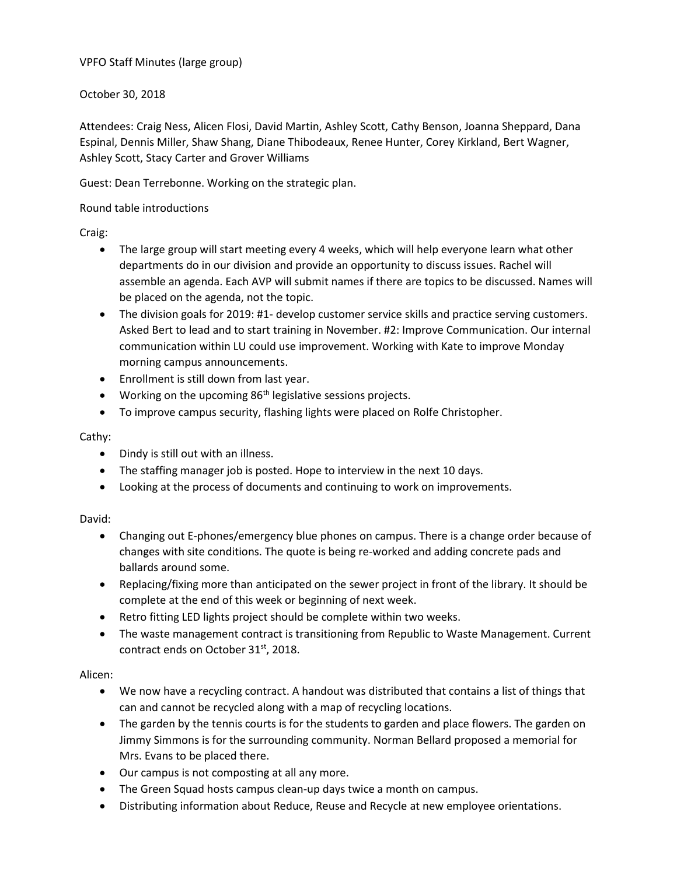VPFO Staff Minutes (large group)

October 30, 2018

Attendees: Craig Ness, Alicen Flosi, David Martin, Ashley Scott, Cathy Benson, Joanna Sheppard, Dana Espinal, Dennis Miller, Shaw Shang, Diane Thibodeaux, Renee Hunter, Corey Kirkland, Bert Wagner, Ashley Scott, Stacy Carter and Grover Williams

Guest: Dean Terrebonne. Working on the strategic plan.

Round table introductions

Craig:

- The large group will start meeting every 4 weeks, which will help everyone learn what other departments do in our division and provide an opportunity to discuss issues. Rachel will assemble an agenda. Each AVP will submit names if there are topics to be discussed. Names will be placed on the agenda, not the topic.
- The division goals for 2019: #1- develop customer service skills and practice serving customers. Asked Bert to lead and to start training in November. #2: Improve Communication. Our internal communication within LU could use improvement. Working with Kate to improve Monday morning campus announcements.
- Enrollment is still down from last year.
- $\bullet$  Working on the upcoming 86<sup>th</sup> legislative sessions projects.
- To improve campus security, flashing lights were placed on Rolfe Christopher.

## Cathy:

- Dindy is still out with an illness.
- The staffing manager job is posted. Hope to interview in the next 10 days.
- Looking at the process of documents and continuing to work on improvements.

## David:

- Changing out E-phones/emergency blue phones on campus. There is a change order because of changes with site conditions. The quote is being re-worked and adding concrete pads and ballards around some.
- Replacing/fixing more than anticipated on the sewer project in front of the library. It should be complete at the end of this week or beginning of next week.
- Retro fitting LED lights project should be complete within two weeks.
- The waste management contract is transitioning from Republic to Waste Management. Current contract ends on October 31<sup>st</sup>, 2018.

## Alicen:

- We now have a recycling contract. A handout was distributed that contains a list of things that can and cannot be recycled along with a map of recycling locations.
- The garden by the tennis courts is for the students to garden and place flowers. The garden on Jimmy Simmons is for the surrounding community. Norman Bellard proposed a memorial for Mrs. Evans to be placed there.
- Our campus is not composting at all any more.
- The Green Squad hosts campus clean-up days twice a month on campus.
- Distributing information about Reduce, Reuse and Recycle at new employee orientations.